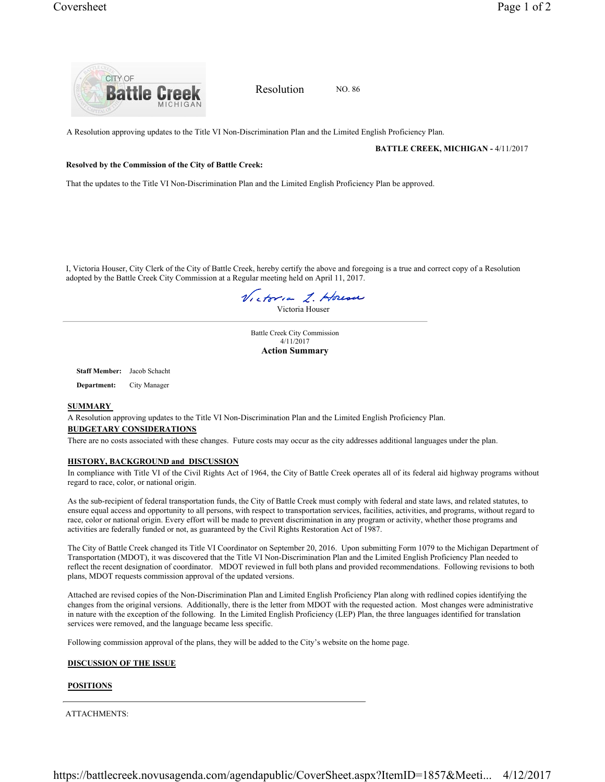

Resolution NO. 86

A Resolution approving updates to the Title VI Non-Discrimination Plan and the Limited English Proficiency Plan.

#### **BATTLE CREEK, MICHIGAN -** 4/11/2017

#### **Resolved by the Commission of the City of Battle Creek:**

That the updates to the Title VI Non-Discrimination Plan and the Limited English Proficiency Plan be approved.

I, Victoria Houser, City Clerk of the City of Battle Creek, hereby certify the above and foregoing is a true and correct copy of a Resolution adopted by the Battle Creek City Commission at a Regular meeting held on April 11, 2017.

Victoria 2. Horean

Battle Creek City Commission 4/11/2017 **Action Summary**

**Staff Member:** Jacob Schacht

**Department:** City Manager

#### **SUMMARY**

A Resolution approving updates to the Title VI Non-Discrimination Plan and the Limited English Proficiency Plan. **BUDGETARY CONSIDERATIONS**

There are no costs associated with these changes. Future costs may occur as the city addresses additional languages under the plan.

#### **HISTORY, BACKGROUND and DISCUSSION**

In compliance with Title VI of the Civil Rights Act of 1964, the City of Battle Creek operates all of its federal aid highway programs without regard to race, color, or national origin.

As the sub-recipient of federal transportation funds, the City of Battle Creek must comply with federal and state laws, and related statutes, to ensure equal access and opportunity to all persons, with respect to transportation services, facilities, activities, and programs, without regard to race, color or national origin. Every effort will be made to prevent discrimination in any program or activity, whether those programs and activities are federally funded or not, as guaranteed by the Civil Rights Restoration Act of 1987.

The City of Battle Creek changed its Title VI Coordinator on September 20, 2016. Upon submitting Form 1079 to the Michigan Department of Transportation (MDOT), it was discovered that the Title VI Non-Discrimination Plan and the Limited English Proficiency Plan needed to reflect the recent designation of coordinator. MDOT reviewed in full both plans and provided recommendations. Following revisions to both plans, MDOT requests commission approval of the updated versions.

Attached are revised copies of the Non-Discrimination Plan and Limited English Proficiency Plan along with redlined copies identifying the changes from the original versions. Additionally, there is the letter from MDOT with the requested action. Most changes were administrative in nature with the exception of the following. In the Limited English Proficiency (LEP) Plan, the three languages identified for translation services were removed, and the language became less specific.

Following commission approval of the plans, they will be added to the City's website on the home page.

#### **DISCUSSION OF THE ISSUE**

#### **POSITIONS**

ATTACHMENTS: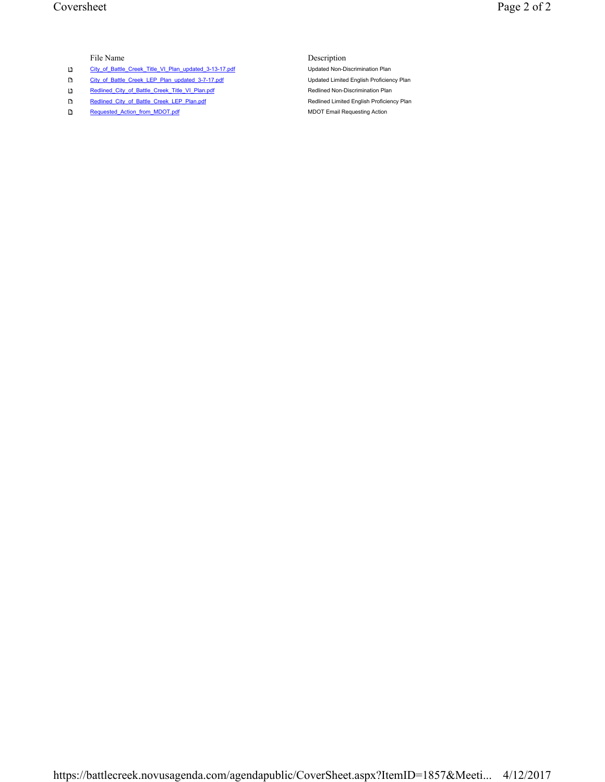- $\mathbf{D}$ City\_of\_Battle\_Creek\_Title\_VI\_Plan\_updated\_3-13-17.pdf Verban Mon-Discrimination Plan
- $\mathbf{D}$
- Redlined City of Battle Creek Title VI Plan.pdf Redlined Non-Discrimination Plan
- 
- D. Requested Action from MDOT.pdf MDOT Email Requesting Action

File Name Description

City\_of\_Battle\_Creek\_LEP\_Plan\_updated\_3-7-17.pdf Updated Limited English Proficiency Plan Redlined\_City\_of\_Battle\_Creek\_LEP\_Plan.pdf Redlined Limited English Proficiency Plan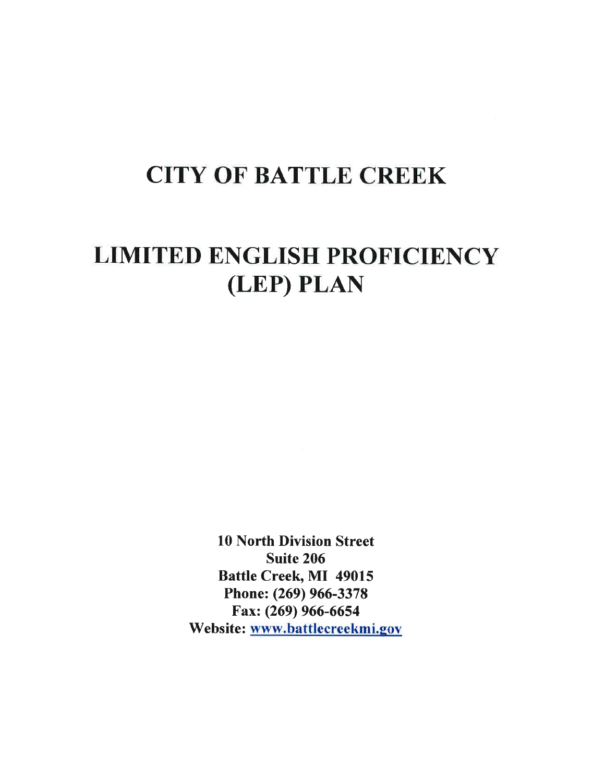# **CITY OF BATTLE CREEK**

# **LIMITED ENGLISH PROFICIENCY** (LEP) PLAN

**10 North Division Street Suite 206 Battle Creek, MI 49015** Phone: (269) 966-3378 Fax: (269) 966-6654 Website: www.battlecreekmi.gov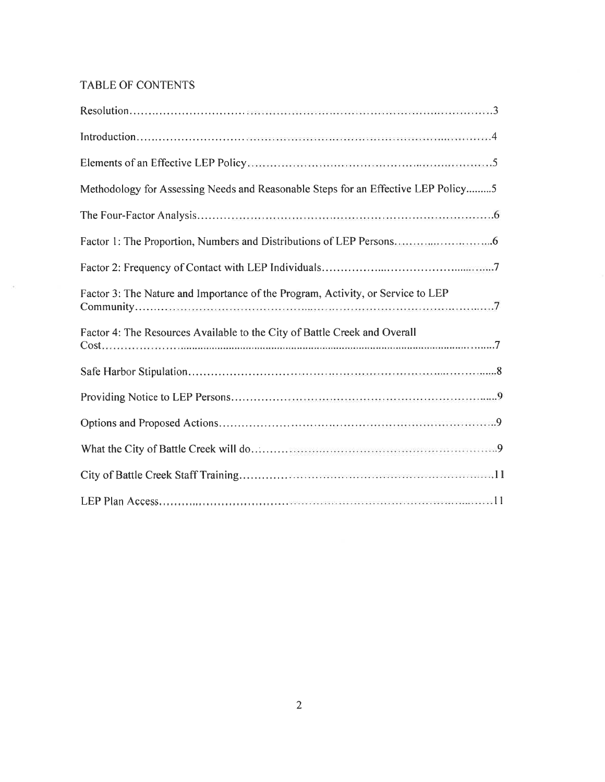# TABLE OF CONTENTS

 $\sim 10^{\circ}$ 

| Methodology for Assessing Needs and Reasonable Steps for an Effective LEP Policy5 |
|-----------------------------------------------------------------------------------|
|                                                                                   |
|                                                                                   |
|                                                                                   |
| Factor 3: The Nature and Importance of the Program, Activity, or Service to LEP   |
| Factor 4: The Resources Available to the City of Battle Creek and Overall         |
|                                                                                   |
|                                                                                   |
|                                                                                   |
|                                                                                   |
|                                                                                   |
|                                                                                   |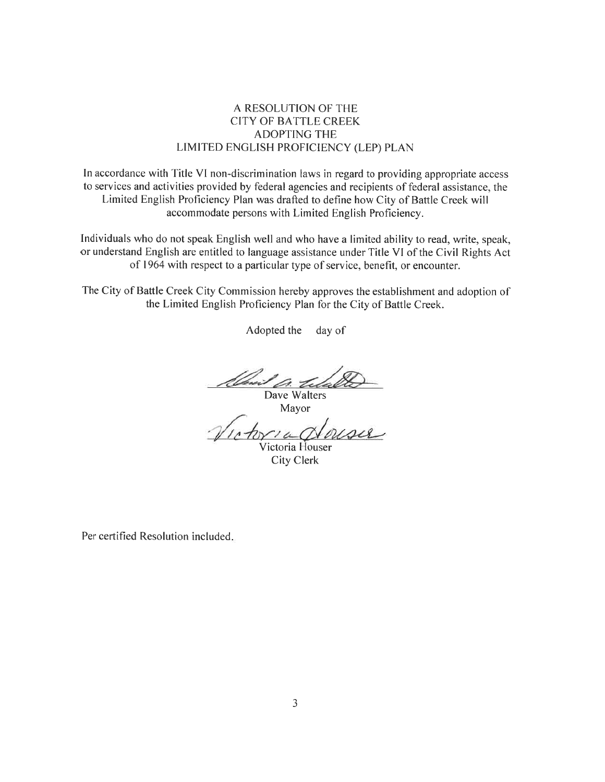# A RESOLUTION OF THE **CITY OF BATTLE CREEK ADOPTING THE** LIMITED ENGLISH PROFICIENCY (LEP) PLAN

In accordance with Title VI non-discrimination laws in regard to providing appropriate access to services and activities provided by federal agencies and recipients of federal assistance, the Limited English Proficiency Plan was drafted to define how City of Battle Creek will accommodate persons with Limited English Proficiency.

Individuals who do not speak English well and who have a limited ability to read, write, speak, or understand English are entitled to language assistance under Title VI of the Civil Rights Act of 1964 with respect to a particular type of service, benefit, or encounter.

The City of Battle Creek City Commission hereby approves the establishment and adoption of the Limited English Proficiency Plan for the City of Battle Creek.

> Adopted the day of

Dave Walters Mayor

Victoria Houser **City Clerk** 

Per certified Resolution included.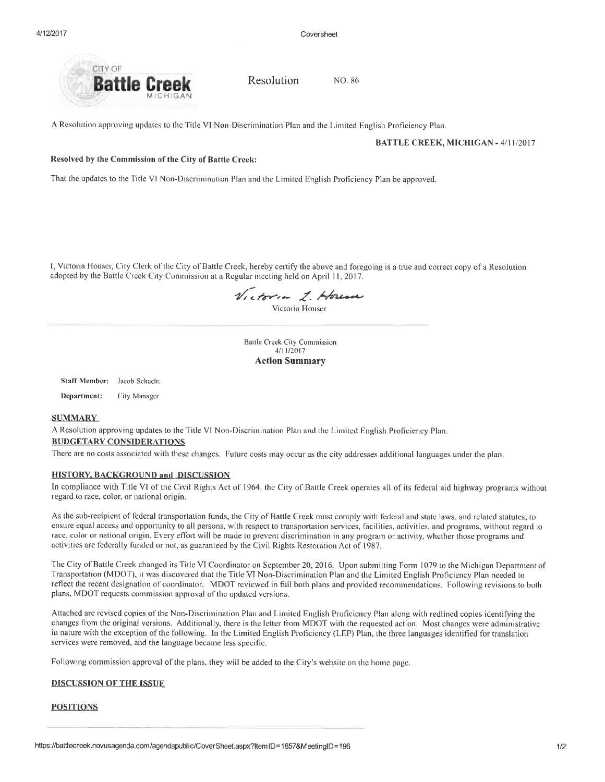Coversheet



Resolution

**NO. 86** 

A Resolution approving updates to the Title VI Non-Discrimination Plan and the Limited English Proficiency Plan.

#### **BATTLE CREEK, MICHIGAN - 4/11/2017**

#### Resolved by the Commission of the City of Battle Creek:

That the updates to the Title VI Non-Discrimination Plan and the Limited English Proficiency Plan be approved.

I, Victoria Houser, City Clerk of the City of Battle Creek, hereby certify the above and foregoing is a true and correct copy of a Resolution adopted by the Battle Creek City Commission at a Regular meeting held on April 11, 2017.

Victoria L. Horse

Victoria Houser

**Battle Creek City Commission** 4/11/2017 **Action Summary** 

Staff Member: Jacob Schacht

Department: City Manager

#### **SUMMARY**

A Resolution approving updates to the Title VI Non-Discrimination Plan and the Limited English Proficiency Plan. **BUDGETARY CONSIDERATIONS** 

There are no costs associated with these changes. Future costs may occur as the city addresses additional languages under the plan.

#### HISTORY, BACKGROUND and DISCUSSION

In compliance with Title VI of the Civil Rights Act of 1964, the City of Battle Creek operates all of its federal aid highway programs without regard to race, color, or national origin.

As the sub-recipient of federal transportation funds, the City of Battle Creek must comply with federal and state laws, and related statutes, to ensure equal access and opportunity to all persons, with respect to transportation services, facilities, activities, and programs, without regard to race, color or national origin. Every effort will be made to prevent discrimination in any program or activity, whether those programs and activities are federally funded or not, as guaranteed by the Civil Rights Restoration Act of 1987.

The City of Battle Creek changed its Title VI Coordinator on September 20, 2016. Upon submitting Form 1079 to the Michigan Department of Transportation (MDOT), it was discovered that the Title VI Non-Discrimination Plan and the Limited English Proficiency Plan needed to reflect the recent designation of coordinator. MDOT reviewed in full both plans and provided recommendations. Following revisions to both plans, MDOT requests commission approval of the updated versions.

Attached are revised copies of the Non-Discrimination Plan and Limited English Proficiency Plan along with redlined copies identifying the changes from the original versions. Additionally, there is the letter from MDOT with the requested action. Most changes were administrative in nature with the exception of the following. In the Limited English Proficiency (LEP) Plan, the three languages identified for translation services were removed, and the language became less specific.

Following commission approval of the plans, they will be added to the City's website on the home page.

#### **DISCUSSION OF THE ISSUE**

**POSITIONS**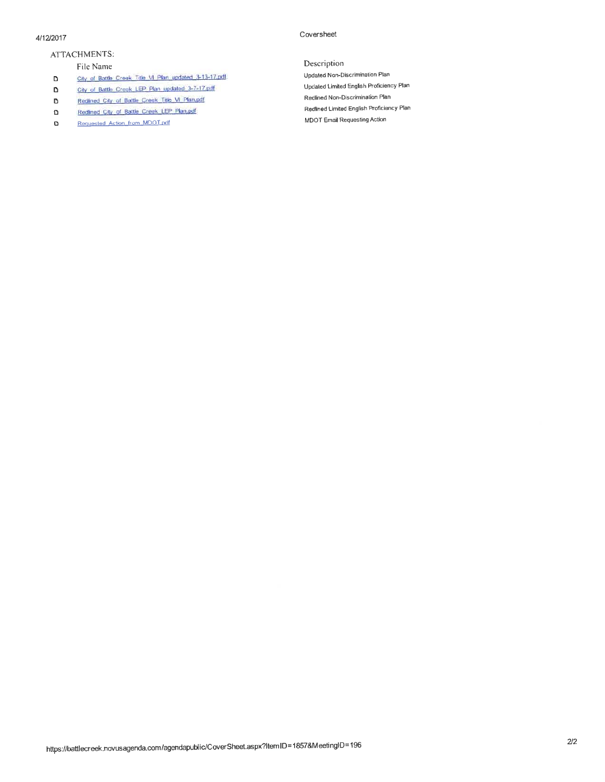#### 4/12/2017

#### ATTACHMENTS:

#### File Name

- City of Battle Creek Title VI Plan updated 3-13-17.pdf  $\mathbf D$
- $\mathbf{D}$ City of Battle Creek LEP Plan updated 3-7-17 pdf
- Redlined City of Battle Creek Title VI Plan.pdf D
- Redlined City of Battle Creek LEP Plan.pdf  $\Omega$
- $\mathbf{D}$ Requested Action from MDOT.pdf

Coversheet

# Description

Updated Non-Discrimination Plan Updated Limited English Proficiency Plan Redlined Non-Discrimination Plan Redlined Limited English Proficiency Plan MDOT Email Requesting Action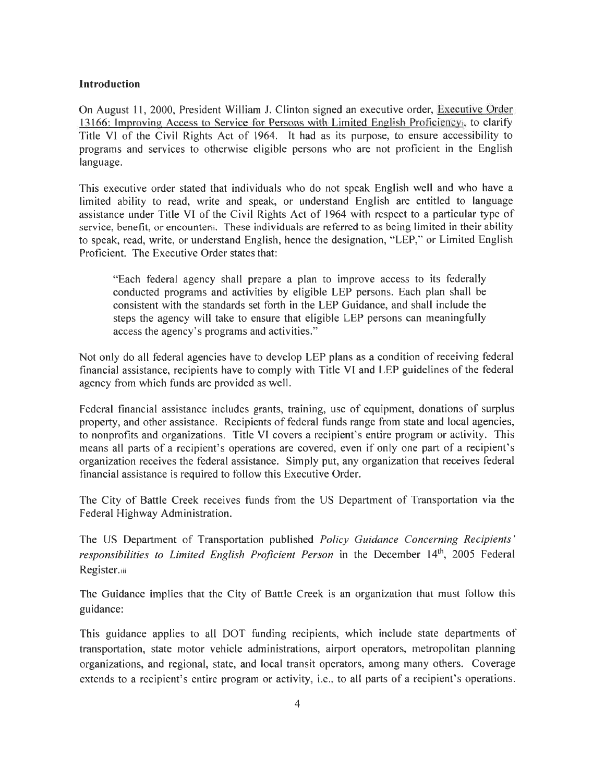#### **Introduction**

On August 11, 2000, President William J. Clinton signed an executive order, Executive Order 13166: Improving Access to Service for Persons with Limited English Proficiency, to clarify Title VI of the Civil Rights Act of 1964. It had as its purpose, to ensure accessibility to programs and services to otherwise eligible persons who are not proficient in the English language.

This executive order stated that individuals who do not speak English well and who have a limited ability to read, write and speak, or understand English are entitled to language assistance under Title VI of the Civil Rights Act of 1964 with respect to a particular type of service, benefit, or encounterii. These individuals are referred to as being limited in their ability to speak, read, write, or understand English, hence the designation, "LEP," or Limited English Proficient. The Executive Order states that:

"Each federal agency shall prepare a plan to improve access to its federally conducted programs and activities by eligible LEP persons. Each plan shall be consistent with the standards set forth in the LEP Guidance, and shall include the steps the agency will take to ensure that eligible LEP persons can meaningfully access the agency's programs and activities."

Not only do all federal agencies have to develop LEP plans as a condition of receiving federal financial assistance, recipients have to comply with Title VI and LEP guidelines of the federal agency from which funds are provided as well.

Federal financial assistance includes grants, training, use of equipment, donations of surplus property, and other assistance. Recipients of federal funds range from state and local agencies, to nonprofits and organizations. Title VI covers a recipient's entire program or activity. This means all parts of a recipient's operations are covered, even if only one part of a recipient's organization receives the federal assistance. Simply put, any organization that receives federal financial assistance is required to follow this Executive Order.

The City of Battle Creek receives funds from the US Department of Transportation via the Federal Highway Administration.

The US Department of Transportation published Policy Guidance Concerning Recipients' responsibilities to Limited English Proficient Person in the December 14th, 2005 Federal Register.iii

The Guidance implies that the City of Battle Creek is an organization that must follow this guidance:

This guidance applies to all DOT funding recipients, which include state departments of transportation, state motor vehicle administrations, airport operators, metropolitan planning organizations, and regional, state, and local transit operators, among many others. Coverage extends to a recipient's entire program or activity, i.e., to all parts of a recipient's operations.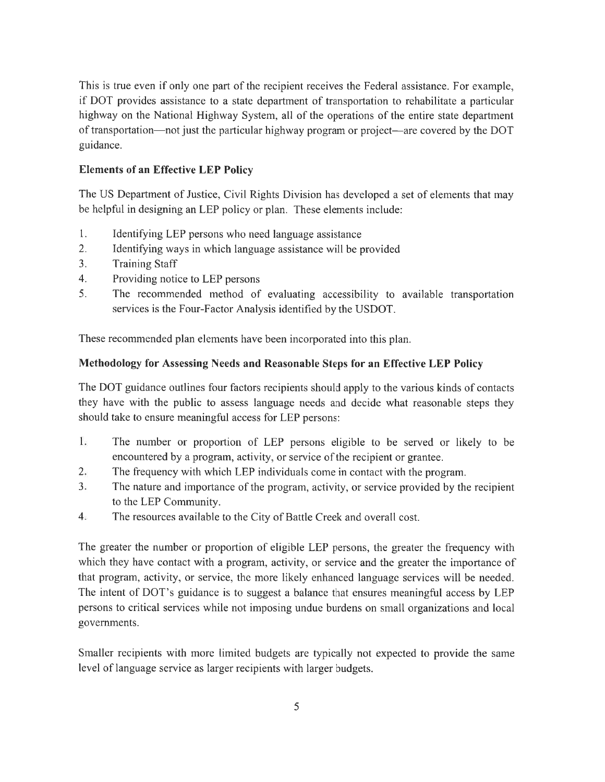This is true even if only one part of the recipient receives the Federal assistance. For example, if DOT provides assistance to a state department of transportation to rehabilitate a particular highway on the National Highway System, all of the operations of the entire state department of transportation—not just the particular highway program or project—are covered by the DOT guidance.

# **Elements of an Effective LEP Policy**

The US Department of Justice, Civil Rights Division has developed a set of elements that may be helpful in designing an LEP policy or plan. These elements include:

- 1. Identifying LEP persons who need language assistance
- $2.$ Identifying ways in which language assistance will be provided
- $3<sub>1</sub>$ **Training Staff**
- $4.$ Providing notice to LEP persons
- 5. The recommended method of evaluating accessibility to available transportation services is the Four-Factor Analysis identified by the USDOT.

These recommended plan elements have been incorporated into this plan.

### Methodology for Assessing Needs and Reasonable Steps for an Effective LEP Policy

The DOT guidance outlines four factors recipients should apply to the various kinds of contacts they have with the public to assess language needs and decide what reasonable steps they should take to ensure meaningful access for LEP persons:

- $1:$ The number or proportion of LEP persons eligible to be served or likely to be encountered by a program, activity, or service of the recipient or grantee.
- $2.$ The frequency with which LEP individuals come in contact with the program.
- $3.5$ The nature and importance of the program, activity, or service provided by the recipient to the LEP Community.
- $4<sub>ii</sub>$ The resources available to the City of Battle Creek and overall cost.

The greater the number or proportion of eligible LEP persons, the greater the frequency with which they have contact with a program, activity, or service and the greater the importance of that program, activity, or service, the more likely enhanced language services will be needed. The intent of DOT's guidance is to suggest a balance that ensures meaningful access by LEP persons to critical services while not imposing undue burdens on small organizations and local governments.

Smaller recipients with more limited budgets are typically not expected to provide the same level of language service as larger recipients with larger budgets.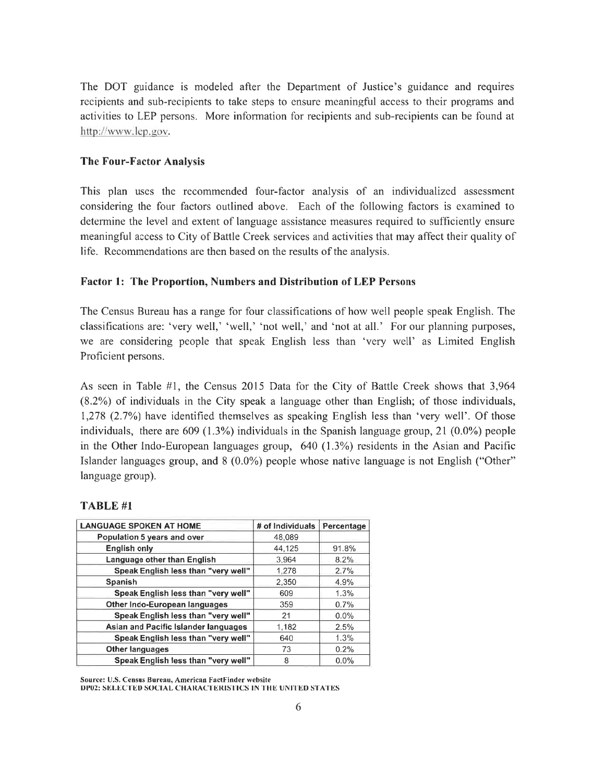The DOT guidance is modeled after the Department of Justice's guidance and requires recipients and sub-recipients to take steps to ensure meaningful access to their programs and activities to LEP persons. More information for recipients and sub-recipients can be found at http://www.lep.gov.

# **The Four-Factor Analysis**

This plan uses the recommended four-factor analysis of an individualized assessment considering the four factors outlined above. Each of the following factors is examined to determine the level and extent of language assistance measures required to sufficiently ensure meaningful access to City of Battle Creek services and activities that may affect their quality of life. Recommendations are then based on the results of the analysis.

# Factor 1: The Proportion, Numbers and Distribution of LEP Persons

The Census Bureau has a range for four classifications of how well people speak English. The classifications are: 'very well,' 'well,' 'not well,' and 'not at all.' For our planning purposes, we are considering people that speak English less than 'very well' as Limited English Proficient persons.

As seen in Table #1, the Census 2015 Data for the City of Battle Creek shows that 3,964 (8.2%) of individuals in the City speak a language other than English; of those individuals, 1,278 (2.7%) have identified themselves as speaking English less than 'very well'. Of those individuals, there are  $609$  (1.3%) individuals in the Spanish language group, 21 (0.0%) people in the Other Indo-European languages group,  $640$  (1.3%) residents in the Asian and Pacific Islander languages group, and 8 (0.0%) people whose native language is not English ("Other" language group).

### **TABLE #1**

| <b>LANGUAGE SPOKEN AT HOME</b>       | # of Individuals | Percentage |
|--------------------------------------|------------------|------------|
| Population 5 years and over          | 48,089           |            |
| English only                         | 44.125           | 91.8%      |
| Language other than English          | 3.964            | 8.2%       |
| Speak English less than "very well"  | 1.278            | 2.7%       |
| <b>Spanish</b>                       | 2.350            | 4.9%       |
| Speak English less than "very well"  | 609              | 1.3%       |
| Other Indo-European languages        | 359              | 0.7%       |
| Speak English less than "very well"  | 21               | 0.0%       |
| Asian and Pacific Islander languages | 1.182            | 2.5%       |
| Speak English less than "very well"  | 640              | 1.3%       |
| <b>Other languages</b>               | 73               | 0.2%       |
| Speak English less than "very well"  | 8                | 0.0%       |

Source: U.S. Census Bureau, American FactFinder website

DP02: SELECTED SOCIAL CHARACTERISTICS IN THE UNITED STATES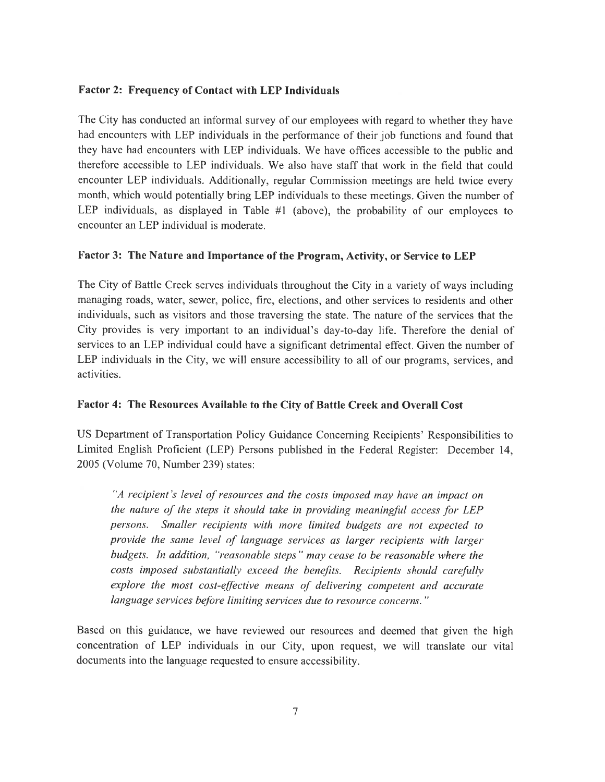# **Factor 2: Frequency of Contact with LEP Individuals**

The City has conducted an informal survey of our employees with regard to whether they have had encounters with LEP individuals in the performance of their job functions and found that they have had encounters with LEP individuals. We have offices accessible to the public and therefore accessible to LEP individuals. We also have staff that work in the field that could encounter LEP individuals. Additionally, regular Commission meetings are held twice every month, which would potentially bring LEP individuals to these meetings. Given the number of LEP individuals, as displayed in Table #1 (above), the probability of our employees to encounter an LEP individual is moderate.

# Factor 3: The Nature and Importance of the Program, Activity, or Service to LEP

The City of Battle Creek serves individuals throughout the City in a variety of ways including managing roads, water, sewer, police, fire, elections, and other services to residents and other individuals, such as visitors and those traversing the state. The nature of the services that the City provides is very important to an individual's day-to-day life. Therefore the denial of services to an LEP individual could have a significant detrimental effect. Given the number of LEP individuals in the City, we will ensure accessibility to all of our programs, services, and activities.

### Factor 4: The Resources Available to the City of Battle Creek and Overall Cost

US Department of Transportation Policy Guidance Concerning Recipients' Responsibilities to Limited English Proficient (LEP) Persons published in the Federal Register: December 14, 2005 (Volume 70, Number 239) states:

"A recipient's level of resources and the costs imposed may have an impact on the nature of the steps it should take in providing meaningful access for LEP persons. Smaller recipients with more limited budgets are not expected to provide the same level of language services as larger recipients with larger budgets. In addition, "reasonable steps" may cease to be reasonable where the costs imposed substantially exceed the benefits. Recipients should carefully explore the most cost-effective means of delivering competent and accurate language services before limiting services due to resource concerns."

Based on this guidance, we have reviewed our resources and deemed that given the high concentration of LEP individuals in our City, upon request, we will translate our vital documents into the language requested to ensure accessibility.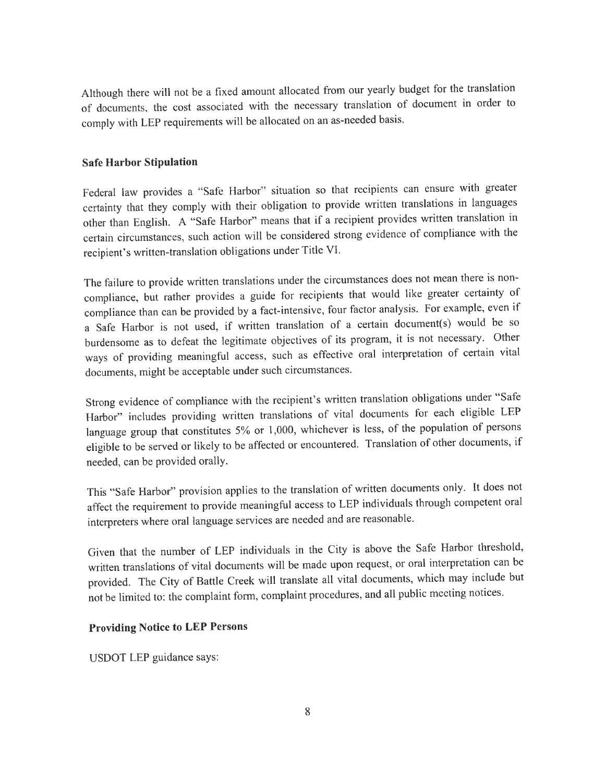Although there will not be a fixed amount allocated from our yearly budget for the translation of documents, the cost associated with the necessary translation of document in order to comply with LEP requirements will be allocated on an as-needed basis.

# **Safe Harbor Stipulation**

Federal law provides a "Safe Harbor" situation so that recipients can ensure with greater certainty that they comply with their obligation to provide written translations in languages other than English. A "Safe Harbor" means that if a recipient provides written translation in certain circumstances, such action will be considered strong evidence of compliance with the recipient's written-translation obligations under Title VI.

The failure to provide written translations under the circumstances does not mean there is noncompliance, but rather provides a guide for recipients that would like greater certainty of compliance than can be provided by a fact-intensive, four factor analysis. For example, even if a Safe Harbor is not used, if written translation of a certain document(s) would be so burdensome as to defeat the legitimate objectives of its program, it is not necessary. Other ways of providing meaningful access, such as effective oral interpretation of certain vital documents, might be acceptable under such circumstances.

Strong evidence of compliance with the recipient's written translation obligations under "Safe Harbor" includes providing written translations of vital documents for each eligible LEP language group that constitutes 5% or 1,000, whichever is less, of the population of persons eligible to be served or likely to be affected or encountered. Translation of other documents, if needed, can be provided orally.

This "Safe Harbor" provision applies to the translation of written documents only. It does not affect the requirement to provide meaningful access to LEP individuals through competent oral interpreters where oral language services are needed and are reasonable.

Given that the number of LEP individuals in the City is above the Safe Harbor threshold, written translations of vital documents will be made upon request, or oral interpretation can be provided. The City of Battle Creek will translate all vital documents, which may include but not be limited to: the complaint form, complaint procedures, and all public meeting notices.

### **Providing Notice to LEP Persons**

USDOT LEP guidance says: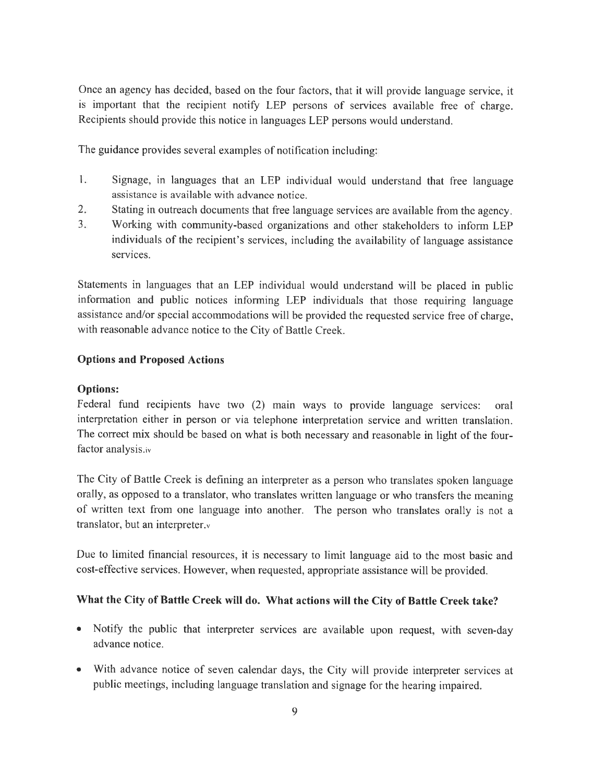Once an agency has decided, based on the four factors, that it will provide language service, it is important that the recipient notify LEP persons of services available free of charge. Recipients should provide this notice in languages LEP persons would understand.

The guidance provides several examples of notification including:

- $\mathbf{L}$ Signage, in languages that an LEP individual would understand that free language assistance is available with advance notice.
- $2.$ Stating in outreach documents that free language services are available from the agency.
- $3.$ Working with community-based organizations and other stakeholders to inform LEP individuals of the recipient's services, including the availability of language assistance services.

Statements in languages that an LEP individual would understand will be placed in public information and public notices informing LEP individuals that those requiring language assistance and/or special accommodations will be provided the requested service free of charge. with reasonable advance notice to the City of Battle Creek.

### **Options and Proposed Actions**

### **Options:**

Federal fund recipients have two (2) main ways to provide language services: oral interpretation either in person or via telephone interpretation service and written translation. The correct mix should be based on what is both necessary and reasonable in light of the fourfactor analysis.iv

The City of Battle Creek is defining an interpreter as a person who translates spoken language orally, as opposed to a translator, who translates written language or who transfers the meaning of written text from one language into another. The person who translates orally is not a translator, but an interpreter.<sub>v</sub>

Due to limited financial resources, it is necessary to limit language aid to the most basic and cost-effective services. However, when requested, appropriate assistance will be provided.

### What the City of Battle Creek will do. What actions will the City of Battle Creek take?

- Notify the public that interpreter services are available upon request, with seven-day advance notice.
- With advance notice of seven calendar days, the City will provide interpreter services at public meetings, including language translation and signage for the hearing impaired.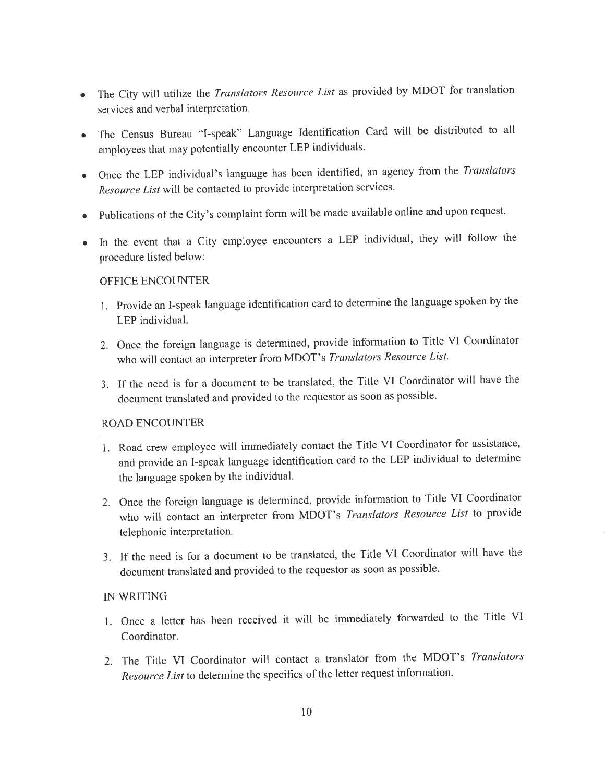- The City will utilize the Translators Resource List as provided by MDOT for translation services and verbal interpretation.
- The Census Bureau "I-speak" Language Identification Card will be distributed to all employees that may potentially encounter LEP individuals.
- Once the LEP individual's language has been identified, an agency from the Translators Resource List will be contacted to provide interpretation services.
- Publications of the City's complaint form will be made available online and upon request.
- In the event that a City employee encounters a LEP individual, they will follow the procedure listed below:

### **OFFICE ENCOUNTER**

- 1. Provide an I-speak language identification card to determine the language spoken by the LEP individual.
- 2. Once the foreign language is determined, provide information to Title VI Coordinator who will contact an interpreter from MDOT's Translators Resource List.
- 3. If the need is for a document to be translated, the Title VI Coordinator will have the document translated and provided to the requestor as soon as possible.

### **ROAD ENCOUNTER**

- 1. Road crew employee will immediately contact the Title VI Coordinator for assistance, and provide an I-speak language identification card to the LEP individual to determine the language spoken by the individual.
- 2. Once the foreign language is determined, provide information to Title VI Coordinator who will contact an interpreter from MDOT's Translators Resource List to provide telephonic interpretation.
- 3. If the need is for a document to be translated, the Title VI Coordinator will have the document translated and provided to the requestor as soon as possible.

#### IN WRITING

- 1. Once a letter has been received it will be immediately forwarded to the Title VI Coordinator.
- 2. The Title VI Coordinator will contact a translator from the MDOT's Translators Resource List to determine the specifics of the letter request information.